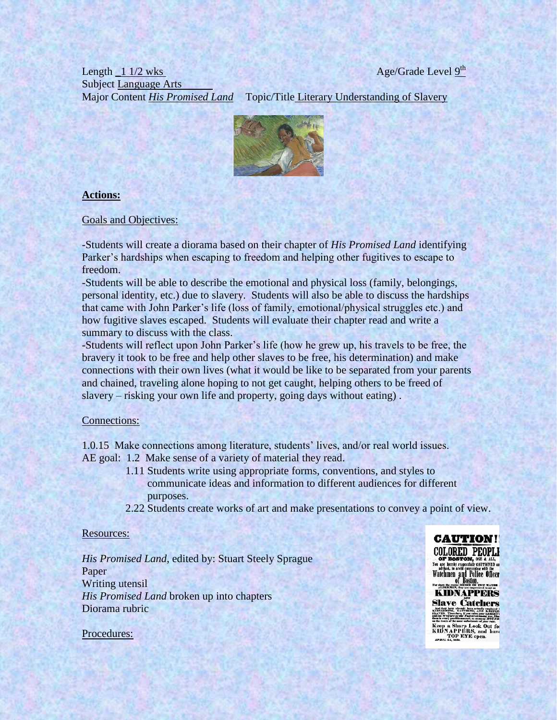### Length  $\frac{11}{2}$  wks Subject Language Arts Major Content *His Promised Land* Topic/Title Literary Understanding of Slavery



## **Actions:**

Goals and Objectives:

-Students will create a diorama based on their chapter of *His Promised Land* identifying Parker's hardships when escaping to freedom and helping other fugitives to escape to freedom.

-Students will be able to describe the emotional and physical loss (family, belongings, personal identity, etc.) due to slavery. Students will also be able to discuss the hardships that came with John Parker's life (loss of family, emotional/physical struggles etc.) and how fugitive slaves escaped. Students will evaluate their chapter read and write a summary to discuss with the class.

-Students will reflect upon John Parker's life (how he grew up, his travels to be free, the bravery it took to be free and help other slaves to be free, his determination) and make connections with their own lives (what it would be like to be separated from your parents and chained, traveling alone hoping to not get caught, helping others to be freed of slavery – risking your own life and property, going days without eating) .

#### Connections:

1.0.15 Make connections among literature, students' lives, and/or real world issues. AE goal: 1.2 Make sense of a variety of material they read.

- 1.11 Students write using appropriate forms, conventions, and styles to communicate ideas and information to different audiences for different purposes.
- 2.22 Students create works of art and make presentations to convey a point of view.

#### Resources:

*His Promised Land*, edited by: Stuart Steely Sprague Paper Writing utensil *His Promised Land* broken up into chapters Diorama rubric



OF BOSTON, OR & ALL, You are hereby respectfully call Tionard advised, to avoid conversing with the Watchmen and Police Officer **KIDNAPPERS Slave Catchers** 

on the track of the mest unfortunate of your net.<br>
Keep a Sharp Look Out for<br>
KIDN APPERS, and have<br>
TOP EYE open.

Procedures: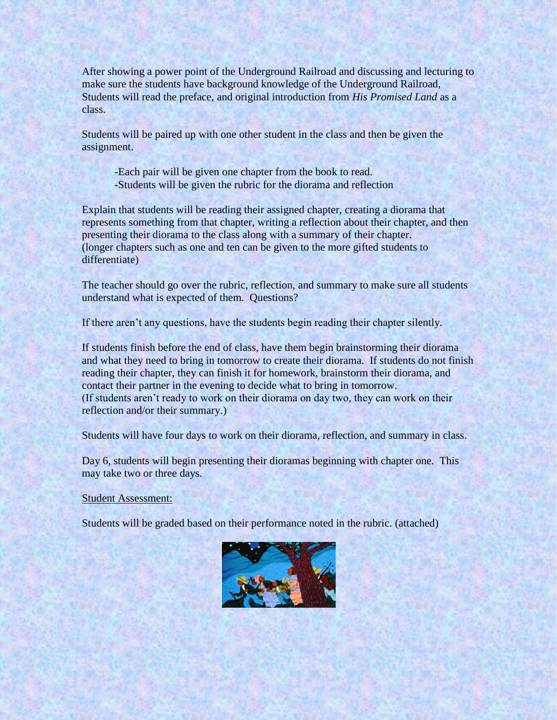After showing a power point of the Underground Railroad and discussing and lecturing to make sure the students have background knowledge of the Underground Railroad, Students will read the preface, and original introduction from *His Promised Land* as a class.

Students will be paired up with one other student in the class and then be given the assignment.

-Each pair will be given one chapter from the book to read. -Students will be given the rubric for the diorama and reflection

Explain that students will be reading their assigned chapter, creating a diorama that represents something from that chapter, writing a reflection about their chapter, and then presenting their diorama to the class along with a summary of their chapter. (longer chapters such as one and ten can be given to the more gifted students to differentiate)

The teacher should go over the rubric, reflection, and summary to make sure all students understand what is expected of them. Questions?

If there aren't any questions, have the students begin reading their chapter silently.

If students finish before the end of class, have them begin brainstorming their diorama and what they need to bring in tomorrow to create their diorama. If students do not finish reading their chapter, they can finish it for homework, brainstorm their diorama, and contact their partner in the evening to decide what to bring in tomorrow. (If students aren't ready to work on their diorama on day two, they can work on their reflection and/or their summary.)

Students will have four days to work on their diorama, reflection, and summary in class.

Day 6, students will begin presenting their dioramas beginning with chapter one. This may take two or three days.

Student Assessment:

Students will be graded based on their performance noted in the rubric. (attached)

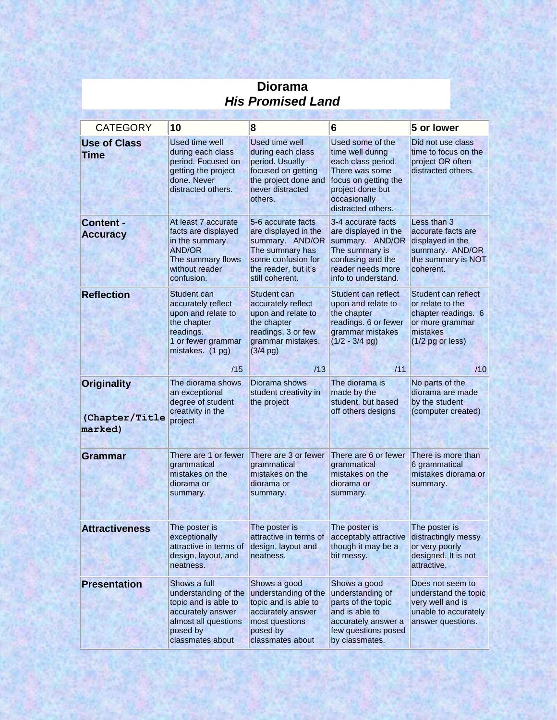| <b>CATEGORY</b>                                 | 10                                                                                                                                        | 8                                                                                                                                                 | 6                                                                                                                                                              | 5 or lower                                                                                                          |  |  |
|-------------------------------------------------|-------------------------------------------------------------------------------------------------------------------------------------------|---------------------------------------------------------------------------------------------------------------------------------------------------|----------------------------------------------------------------------------------------------------------------------------------------------------------------|---------------------------------------------------------------------------------------------------------------------|--|--|
| <b>Use of Class</b><br><b>Time</b>              | Used time well<br>during each class<br>period. Focused on<br>getting the project<br>done, Never<br>distracted others.                     | <b>Used time well</b><br>during each class<br>period. Usually<br>focused on getting<br>the project done and<br>never distracted<br>others.        | Used some of the<br>time well during<br>each class period.<br>There was some<br>focus on getting the<br>project done but<br>occasionally<br>distracted others. | Did not use class<br>time to focus on the<br>project OR often<br>distracted others.                                 |  |  |
| <b>Content -</b><br><b>Accuracy</b>             | At least 7 accurate<br>facts are displayed<br>in the summary.<br><b>AND/OR</b><br>The summary flows<br>without reader<br>confusion.       | 5-6 accurate facts<br>are displayed in the<br>summary. AND/OR<br>The summary has<br>some confusion for<br>the reader, but it's<br>still coherent. | 3-4 accurate facts<br>are displayed in the<br>summary. AND/OR<br>The summary is<br>confusing and the<br>reader needs more<br>info to understand.               | Less than 3<br>accurate facts are<br>displayed in the<br>summary. AND/OR<br>the summary is NOT<br>coherent.         |  |  |
| <b>Reflection</b>                               | Student can<br>accurately reflect<br>upon and relate to<br>the chapter<br>readings.<br>1 or fewer grammar<br>mistakes. (1 pg)             | Student can<br>accurately reflect<br>upon and relate to<br>the chapter<br>readings. 3 or few<br>grammar mistakes.<br>$(3/4$ pg)                   | Student can reflect<br>upon and relate to<br>the chapter<br>readings. 6 or fewer<br>grammar mistakes<br>$(1/2 - 3/4$ pg)                                       | Student can reflect<br>or relate to the<br>chapter readings. 6<br>or more grammar<br>mistakes<br>$(1/2$ pg or less) |  |  |
|                                                 | /15                                                                                                                                       | /13                                                                                                                                               | /11                                                                                                                                                            | /10                                                                                                                 |  |  |
| <b>Originality</b><br>(Chapter/Title<br>marked) | The diorama shows<br>an exceptional<br>degree of student<br>creativity in the<br>project                                                  | Diorama shows<br>student creativity in<br>the project                                                                                             | The diorama is<br>made by the<br>student, but based<br>off others designs                                                                                      | No parts of the<br>diorama are made<br>by the student<br>(computer created)                                         |  |  |
| Grammar                                         | There are 1 or fewer<br>grammatical<br>mistakes on the<br>diorama or<br>summary.                                                          | There are 3 or fewer<br>grammatical<br>mistakes on the<br>diorama or<br>summary.                                                                  | There are 6 or fewer<br>grammatical<br>mistakes on the<br>diorama or<br>summary.                                                                               | There is more than<br>6 grammatical<br>mistakes diorama or<br>summary.                                              |  |  |
| <b>Attractiveness</b>                           | The poster is<br>exceptionally<br>attractive in terms of<br>design, layout, and<br>neatness.                                              | The poster is<br>attractive in terms of<br>design, layout and<br>neatness.                                                                        | The poster is<br>acceptably attractive<br>though it may be a<br>bit messy.                                                                                     | The poster is<br>distractingly messy<br>or very poorly<br>designed. It is not<br>attractive.                        |  |  |
| <b>Presentation</b>                             | Shows a full<br>understanding of the<br>topic and is able to<br>accurately answer<br>almost all questions<br>posed by<br>classmates about | Shows a good<br>understanding of the<br>topic and is able to<br>accurately answer<br>most questions<br>posed by<br>classmates about               | Shows a good<br>understanding of<br>parts of the topic<br>and is able to<br>accurately answer a<br>few questions posed<br>by classmates.                       | Does not seem to<br>understand the topic<br>very well and is<br>unable to accurately<br>answer questions.           |  |  |

# **Diorama**  *His Promised Land*